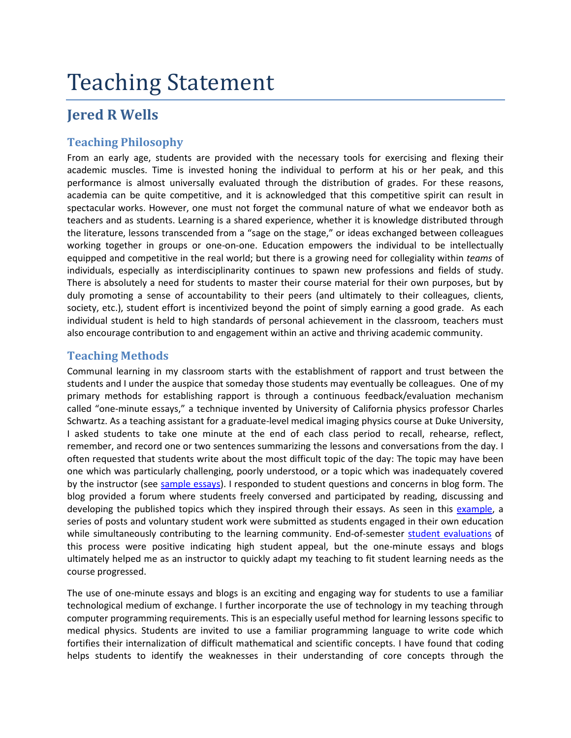# Teaching Statement

# **Jered R Wells**

# **Teaching Philosophy**

From an early age, students are provided with the necessary tools for exercising and flexing their academic muscles. Time is invested honing the individual to perform at his or her peak, and this performance is almost universally evaluated through the distribution of grades. For these reasons, academia can be quite competitive, and it is acknowledged that this competitive spirit can result in spectacular works. However, one must not forget the communal nature of what we endeavor both as teachers and as students. Learning is a shared experience, whether it is knowledge distributed through the literature, lessons transcended from a "sage on the stage," or ideas exchanged between colleagues working together in groups or one-on-one. Education empowers the individual to be intellectually equipped and competitive in the real world; but there is a growing need for collegiality within *teams* of individuals, especially as interdisciplinarity continues to spawn new professions and fields of study. There is absolutely a need for students to master their course material for their own purposes, but by duly promoting a sense of accountability to their peers (and ultimately to their colleagues, clients, society, etc.), student effort is incentivized beyond the point of simply earning a good grade. As each individual student is held to high standards of personal achievement in the classroom, teachers must also encourage contribution to and engagement within an active and thriving academic community.

## **Teaching Methods**

Communal learning in my classroom starts with the establishment of rapport and trust between the students and I under the auspice that someday those students may eventually be colleagues. One of my primary methods for establishing rapport is through a continuous feedback/evaluation mechanism called "one-minute essays," a technique invented by University of California physics professor Charles Schwartz. As a teaching assistant for a graduate-level medical imaging physics course at Duke University, I asked students to take one minute at the end of each class period to recall, rehearse, reflect, remember, and record one or two sentences summarizing the lessons and conversations from the day. I often requested that students write about the most difficult topic of the day: The topic may have been one which was particularly challenging, poorly understood, or a topic which was inadequately covered by the instructor (see [sample essays\)](https://sites.google.com/site/jeredwells/materials/one-minute_essays_08-30-11.pdf). I responded to student questions and concerns in blog form. The blog provided a forum where students freely conversed and participated by reading, discussing and developing the published topics which they inspired through their essays. As seen in this [example,](https://sites.google.com/site/jeredwells/materials/Module1%20%2808_30_11%29%20-%20Overview.pdf) a series of posts and voluntary student work were submitted as students engaged in their own education while simultaneously contributing to the learning community. End-of-semester [student evaluations](https://sites.google.com/site/jeredwells/materials/one_minute_essay_survey_response.pdf) of this process were positive indicating high student appeal, but the one-minute essays and blogs ultimately helped me as an instructor to quickly adapt my teaching to fit student learning needs as the course progressed.

The use of one-minute essays and blogs is an exciting and engaging way for students to use a familiar technological medium of exchange. I further incorporate the use of technology in my teaching through computer programming requirements. This is an especially useful method for learning lessons specific to medical physics. Students are invited to use a familiar programming language to write code which fortifies their internalization of difficult mathematical and scientific concepts. I have found that coding helps students to identify the weaknesses in their understanding of core concepts through the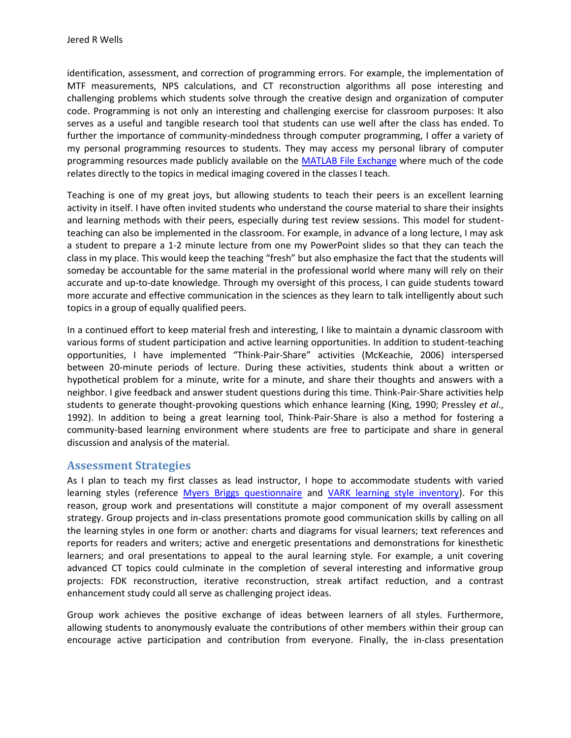identification, assessment, and correction of programming errors. For example, the implementation of MTF measurements, NPS calculations, and CT reconstruction algorithms all pose interesting and challenging problems which students solve through the creative design and organization of computer code. Programming is not only an interesting and challenging exercise for classroom purposes: It also serves as a useful and tangible research tool that students can use well after the class has ended. To further the importance of community-mindedness through computer programming, I offer a variety of my personal programming resources to students. They may access my personal library of computer programming resources made publicly available on the [MATLAB File Exchange](http://www.mathworks.com/matlabcentral/fileexchange/authors/123996) where much of the code relates directly to the topics in medical imaging covered in the classes I teach.

Teaching is one of my great joys, but allowing students to teach their peers is an excellent learning activity in itself. I have often invited students who understand the course material to share their insights and learning methods with their peers, especially during test review sessions. This model for studentteaching can also be implemented in the classroom. For example, in advance of a long lecture, I may ask a student to prepare a 1-2 minute lecture from one my PowerPoint slides so that they can teach the class in my place. This would keep the teaching "fresh" but also emphasize the fact that the students will someday be accountable for the same material in the professional world where many will rely on their accurate and up-to-date knowledge. Through my oversight of this process, I can guide students toward more accurate and effective communication in the sciences as they learn to talk intelligently about such topics in a group of equally qualified peers.

In a continued effort to keep material fresh and interesting, I like to maintain a dynamic classroom with various forms of student participation and active learning opportunities. In addition to student-teaching opportunities, I have implemented "Think-Pair-Share" activities (McKeachie, 2006) interspersed between 20-minute periods of lecture. During these activities, students think about a written or hypothetical problem for a minute, write for a minute, and share their thoughts and answers with a neighbor. I give feedback and answer student questions during this time. Think-Pair-Share activities help students to generate thought-provoking questions which enhance learning (King, 1990; Pressley *et al*., 1992). In addition to being a great learning tool, Think-Pair-Share is also a method for fostering a community-based learning environment where students are free to participate and share in general discussion and analysis of the material.

### **Assessment Strategies**

As I plan to teach my first classes as lead instructor, I hope to accommodate students with varied learning styles (reference [Myers Briggs questionnaire](http://www.humanmetrics.com/cgi-win/jtypes2.asp) and [VARK learning style inventory\)](http://www.vark-learn.com/english/page.asp?p=questionnaire). For this reason, group work and presentations will constitute a major component of my overall assessment strategy. Group projects and in-class presentations promote good communication skills by calling on all the learning styles in one form or another: charts and diagrams for visual learners; text references and reports for readers and writers; active and energetic presentations and demonstrations for kinesthetic learners; and oral presentations to appeal to the aural learning style. For example, a unit covering advanced CT topics could culminate in the completion of several interesting and informative group projects: FDK reconstruction, iterative reconstruction, streak artifact reduction, and a contrast enhancement study could all serve as challenging project ideas.

Group work achieves the positive exchange of ideas between learners of all styles. Furthermore, allowing students to anonymously evaluate the contributions of other members within their group can encourage active participation and contribution from everyone. Finally, the in-class presentation